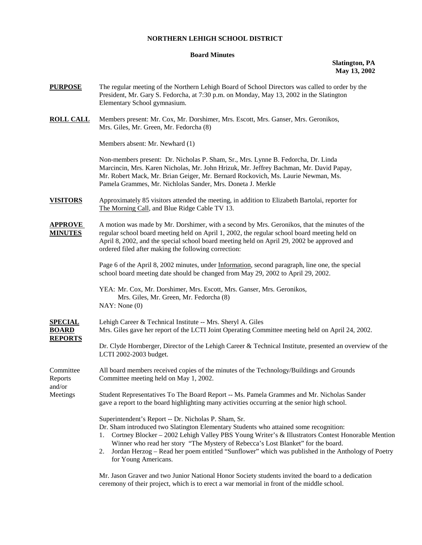## **NORTHERN LEHIGH SCHOOL DISTRICT**

## **Board Minutes**

**Slatington, PA May 13, 2002** 

- **PURPOSE** The regular meeting of the Northern Lehigh Board of School Directors was called to order by the President, Mr. Gary S. Fedorcha, at 7:30 p.m. on Monday, May 13, 2002 in the Slatington Elementary School gymnasium.
- **ROLL CALL** Members present: Mr. Cox, Mr. Dorshimer, Mrs. Escott, Mrs. Ganser, Mrs. Geronikos, Mrs. Giles, Mr. Green, Mr. Fedorcha (8)

Members absent: Mr. Newhard (1)

 Non-members present: Dr. Nicholas P. Sham, Sr., Mrs. Lynne B. Fedorcha, Dr. Linda Marcincin, Mrs. Karen Nicholas, Mr. John Hrizuk, Mr. Jeffrey Bachman, Mr. David Papay, Mr. Robert Mack, Mr. Brian Geiger, Mr. Bernard Rockovich, Ms. Laurie Newman, Ms. Pamela Grammes, Mr. Nichlolas Sander, Mrs. Doneta J. Merkle

- **VISITORS** Approximately 85 visitors attended the meeting, in addition to Elizabeth Bartolai, reporter for The Morning Call, and Blue Ridge Cable TV 13.
- **APPROVE** A motion was made by Mr. Dorshimer, with a second by Mrs. Geronikos, that the minutes of the **MINUTES** regular school board meeting held on April 1, 2002, the regular school board meeting held on April 8, 2002, and the special school board meeting held on April 29, 2002 be approved and ordered filed after making the following correction:

 Page 6 of the April 8, 2002 minutes, under Information, second paragraph, line one, the special school board meeting date should be changed from May 29, 2002 to April 29, 2002.

 YEA: Mr. Cox, Mr. Dorshimer, Mrs. Escott, Mrs. Ganser, Mrs. Geronikos, Mrs. Giles, Mr. Green, Mr. Fedorcha (8) NAY: None (0)

| <b>SPECIAL</b>    | Lehigh Career & Technical Institute -- Mrs. Sheryl A. Giles                                                                                                                               |  |  |  |
|-------------------|-------------------------------------------------------------------------------------------------------------------------------------------------------------------------------------------|--|--|--|
| <b>BOARD</b>      | Mrs. Giles gave her report of the LCTI Joint Operating Committee meeting held on April 24, 2002.                                                                                          |  |  |  |
| <b>REPORTS</b>    |                                                                                                                                                                                           |  |  |  |
|                   | Dr. Clyde Hornberger, Director of the Lehigh Career & Technical Institute, presented an overview of the<br>LCTI 2002-2003 budget.                                                         |  |  |  |
| Committee         | All board members received copies of the minutes of the Technology/Buildings and Grounds                                                                                                  |  |  |  |
| Reports<br>and/or | Committee meeting held on May 1, 2002.                                                                                                                                                    |  |  |  |
| Meetings          | Student Representatives To The Board Report -- Ms. Pamela Grammes and Mr. Nicholas Sander<br>gave a report to the board highlighting many activities occurring at the senior high school. |  |  |  |
|                   | Superintendent's Report -- Dr. Nicholas P. Sham, Sr.                                                                                                                                      |  |  |  |
|                   | Dr. Sham introduced two Slatington Elementary Students who attained some recognition:                                                                                                     |  |  |  |
|                   | Cortney Blocker – 2002 Lehigh Valley PBS Young Writer's & Illustrators Contest Honorable Mention                                                                                          |  |  |  |

- Winner who read her story "The Mystery of Rebecca's Lost Blanket" for the board. 2. Jordan Herzog – Read her poem entitled "Sunflower" which was published in the Anthology of Poetry
- for Young Americans.

Mr. Jason Graver and two Junior National Honor Society students invited the board to a dedication ceremony of their project, which is to erect a war memorial in front of the middle school.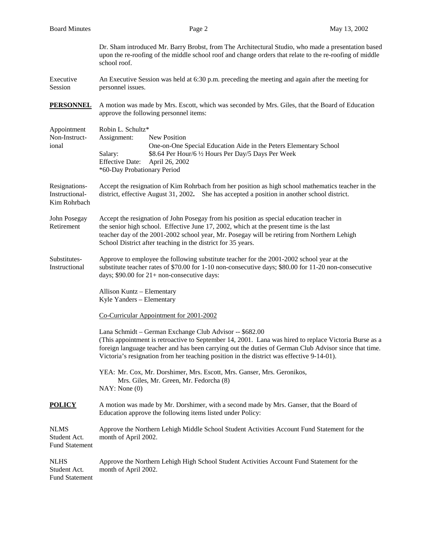| <b>Board Minutes</b>                                 | Page 2                                                                                                                                                                                                                                                                                                                                                                 | May 13, 2002 |  |  |  |
|------------------------------------------------------|------------------------------------------------------------------------------------------------------------------------------------------------------------------------------------------------------------------------------------------------------------------------------------------------------------------------------------------------------------------------|--------------|--|--|--|
|                                                      | Dr. Sham introduced Mr. Barry Brobst, from The Architectural Studio, who made a presentation based<br>upon the re-roofing of the middle school roof and change orders that relate to the re-roofing of middle<br>school roof.                                                                                                                                          |              |  |  |  |
| Executive<br>Session                                 | An Executive Session was held at 6:30 p.m. preceding the meeting and again after the meeting for<br>personnel issues.                                                                                                                                                                                                                                                  |              |  |  |  |
| <b>PERSONNEL</b>                                     | A motion was made by Mrs. Escott, which was seconded by Mrs. Giles, that the Board of Education<br>approve the following personnel items:                                                                                                                                                                                                                              |              |  |  |  |
| Appointment<br>Non-Instruct-<br>ional                | Robin L. Schultz*<br>Assignment:<br>New Position<br>One-on-One Special Education Aide in the Peters Elementary School<br>\$8.64 Per Hour/6 1/2 Hours Per Day/5 Days Per Week<br>Salary:<br><b>Effective Date:</b><br>April 26, 2002<br>*60-Day Probationary Period                                                                                                     |              |  |  |  |
| Resignations-<br>Instructional-<br>Kim Rohrbach      | Accept the resignation of Kim Rohrbach from her position as high school mathematics teacher in the<br>district, effective August 31, 2002. She has accepted a position in another school district.                                                                                                                                                                     |              |  |  |  |
| John Posegay<br>Retirement                           | Accept the resignation of John Posegay from his position as special education teacher in<br>the senior high school. Effective June 17, 2002, which at the present time is the last<br>teacher day of the 2001-2002 school year, Mr. Posegay will be retiring from Northern Lehigh<br>School District after teaching in the district for 35 years.                      |              |  |  |  |
| Substitutes-<br>Instructional                        | Approve to employee the following substitute teacher for the 2001-2002 school year at the<br>substitute teacher rates of \$70.00 for 1-10 non-consecutive days; \$80.00 for 11-20 non-consecutive<br>days; \$90.00 for 21+ non-consecutive days:                                                                                                                       |              |  |  |  |
|                                                      | Allison Kuntz - Elementary<br>Kyle Yanders - Elementary                                                                                                                                                                                                                                                                                                                |              |  |  |  |
|                                                      | Co-Curricular Appointment for 2001-2002                                                                                                                                                                                                                                                                                                                                |              |  |  |  |
|                                                      | Lana Schmidt - German Exchange Club Advisor -- \$682.00<br>(This appointment is retroactive to September 14, 2001. Lana was hired to replace Victoria Burse as a<br>foreign language teacher and has been carrying out the duties of German Club Advisor since that time.<br>Victoria's resignation from her teaching position in the district was effective 9-14-01). |              |  |  |  |
|                                                      | YEA: Mr. Cox, Mr. Dorshimer, Mrs. Escott, Mrs. Ganser, Mrs. Geronikos,<br>Mrs. Giles, Mr. Green, Mr. Fedorcha (8)<br>NAY: None(0)                                                                                                                                                                                                                                      |              |  |  |  |
| <b>POLICY</b>                                        | A motion was made by Mr. Dorshimer, with a second made by Mrs. Ganser, that the Board of<br>Education approve the following items listed under Policy:                                                                                                                                                                                                                 |              |  |  |  |
| <b>NLMS</b><br>Student Act.<br><b>Fund Statement</b> | Approve the Northern Lehigh Middle School Student Activities Account Fund Statement for the<br>month of April 2002.                                                                                                                                                                                                                                                    |              |  |  |  |
| <b>NLHS</b><br>Student Act.<br><b>Fund Statement</b> | Approve the Northern Lehigh High School Student Activities Account Fund Statement for the<br>month of April 2002.                                                                                                                                                                                                                                                      |              |  |  |  |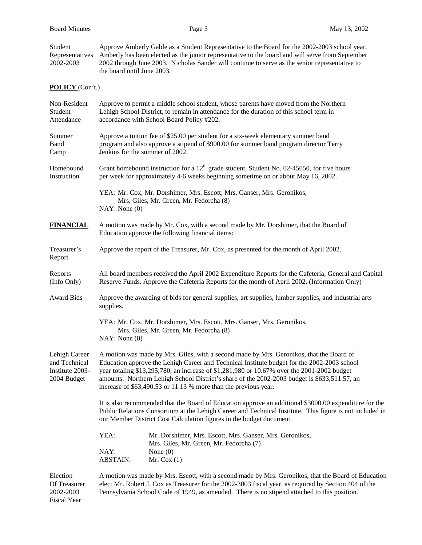Student Approve Amberly Gable as a Student Representative to the Board for the 2002-2003 school year. Representatives Amberly has been elected as the junior representative to the board and will serve from September 2002-2003 2002 through June 2003. Nicholas Sander will continue to serve as the senior representative to 2002 through June 2003. Nicholas Sander will continue to serve as the senior representative to the board until June 2003.

## **POLICY** (Con't.)

| Non-Resident<br>Student<br>Attendance                            | Approve to permit a middle school student, whose parents have moved from the Northern<br>Lehigh School District, to remain in attendance for the duration of this school term in<br>accordance with School Board Policy #202.                                                                                                                                                                                                                            |                                                                                                                                          |  |  |  |
|------------------------------------------------------------------|----------------------------------------------------------------------------------------------------------------------------------------------------------------------------------------------------------------------------------------------------------------------------------------------------------------------------------------------------------------------------------------------------------------------------------------------------------|------------------------------------------------------------------------------------------------------------------------------------------|--|--|--|
| Summer<br>Band<br>Camp                                           | Approve a tuition fee of \$25.00 per student for a six-week elementary summer band<br>program and also approve a stipend of \$900.00 for summer band program director Terry<br>Jenkins for the summer of 2002.                                                                                                                                                                                                                                           |                                                                                                                                          |  |  |  |
| Homebound<br>Instruction                                         | Grant homebound instruction for a $12th$ grade student, Student No. 02-45050, for five hours<br>per week for approximately 4-6 weeks beginning sometime on or about May 16, 2002.                                                                                                                                                                                                                                                                        |                                                                                                                                          |  |  |  |
|                                                                  | NAY: None(0)                                                                                                                                                                                                                                                                                                                                                                                                                                             | YEA: Mr. Cox, Mr. Dorshimer, Mrs. Escott, Mrs. Ganser, Mrs. Geronikos,<br>Mrs. Giles, Mr. Green, Mr. Fedorcha (8)                        |  |  |  |
| <b>FINANCIAL</b>                                                 |                                                                                                                                                                                                                                                                                                                                                                                                                                                          | A motion was made by Mr. Cox, with a second made by Mr. Dorshimer, that the Board of<br>Education approve the following financial items: |  |  |  |
| Treasurer's<br>Report                                            | Approve the report of the Treasurer, Mr. Cox, as presented for the month of April 2002.                                                                                                                                                                                                                                                                                                                                                                  |                                                                                                                                          |  |  |  |
| Reports<br>(Info Only)                                           | All board members received the April 2002 Expenditure Reports for the Cafeteria, General and Capital<br>Reserve Funds. Approve the Cafeteria Reports for the month of April 2002. (Information Only)                                                                                                                                                                                                                                                     |                                                                                                                                          |  |  |  |
| <b>Award Bids</b>                                                | Approve the awarding of bids for general supplies, art supplies, lumber supplies, and industrial arts<br>supplies.                                                                                                                                                                                                                                                                                                                                       |                                                                                                                                          |  |  |  |
|                                                                  | YEA: Mr. Cox, Mr. Dorshimer, Mrs. Escott, Mrs. Ganser, Mrs. Geronikos,<br>Mrs. Giles, Mr. Green, Mr. Fedorcha (8)<br>NAY: None(0)                                                                                                                                                                                                                                                                                                                        |                                                                                                                                          |  |  |  |
| Lehigh Career<br>and Technical<br>Institute 2003-<br>2004 Budget | A motion was made by Mrs. Giles, with a second made by Mrs. Geronikos, that the Board of<br>Education approve the Lehigh Career and Technical Institute budget for the 2002-2003 school<br>year totaling \$13,295,780, an increase of \$1,281,980 or 10.67% over the 2001-2002 budget<br>amounts. Northern Lehigh School District's share of the 2002-2003 budget is \$633,511.57, an<br>increase of \$63,490.53 or 11.13 % more than the previous year. |                                                                                                                                          |  |  |  |
|                                                                  | It is also recommended that the Board of Education approve an additional \$3000.00 expenditure for the<br>Public Relations Consortium at the Lehigh Career and Technical Institute. This figure is not included in<br>our Member District Cost Calculation figures in the budget document.                                                                                                                                                               |                                                                                                                                          |  |  |  |
|                                                                  | YEA:                                                                                                                                                                                                                                                                                                                                                                                                                                                     | Mr. Dorshimer, Mrs. Escott, Mrs. Ganser, Mrs. Geronikos,<br>Mrs. Giles, Mr. Green, Mr. Fedorcha (7)                                      |  |  |  |
|                                                                  | NAY:<br><b>ABSTAIN:</b>                                                                                                                                                                                                                                                                                                                                                                                                                                  | None $(0)$<br>Mr. Cox $(1)$                                                                                                              |  |  |  |
| Election<br>Of Treasurer<br>2002-2003                            | A motion was made by Mrs. Escott, with a second made by Mrs. Geronikos, that the Board of Education<br>elect Mr. Robert J. Cox as Treasurer for the 2002-3003 fiscal year, as required by Section 404 of the<br>Pennsylvania School Code of 1949, as amended. There is no stipend attached to this position.                                                                                                                                             |                                                                                                                                          |  |  |  |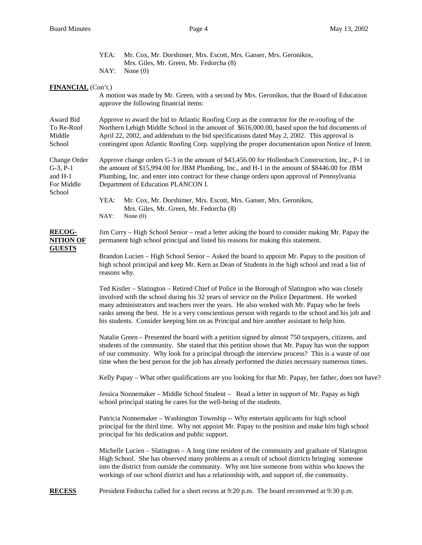|                                                                  | YEA:<br>NAY:                                                                                                                                                                                                                                                                                                                                                                                                                                                                                      | Mr. Cox, Mr. Dorshimer, Mrs. Escott, Mrs. Ganser, Mrs. Geronikos,<br>Mrs. Giles, Mr. Green, Mr. Fedorcha (8)<br>None $(0)$                                                                                                                                                                                                                                                                         |  |  |  |
|------------------------------------------------------------------|---------------------------------------------------------------------------------------------------------------------------------------------------------------------------------------------------------------------------------------------------------------------------------------------------------------------------------------------------------------------------------------------------------------------------------------------------------------------------------------------------|----------------------------------------------------------------------------------------------------------------------------------------------------------------------------------------------------------------------------------------------------------------------------------------------------------------------------------------------------------------------------------------------------|--|--|--|
|                                                                  |                                                                                                                                                                                                                                                                                                                                                                                                                                                                                                   |                                                                                                                                                                                                                                                                                                                                                                                                    |  |  |  |
| FINANCIAL (Con't.)                                               |                                                                                                                                                                                                                                                                                                                                                                                                                                                                                                   | A motion was made by Mr. Green, with a second by Mrs. Geronikos, that the Board of Education<br>approve the following financial items:                                                                                                                                                                                                                                                             |  |  |  |
| Award Bid<br>To Re-Roof<br>Middle<br>School                      | Approve to award the bid to Atlantic Roofing Corp as the contractor for the re-roofing of the<br>Northern Lehigh Middle School in the amount of \$616,000.00, based upon the bid documents of<br>April 22, 2002, and addendum to the bid specifications dated May 2, 2002. This approval is<br>contingent upon Atlantic Roofing Corp. supplying the proper documentation upon Notice of Intent.                                                                                                   |                                                                                                                                                                                                                                                                                                                                                                                                    |  |  |  |
| Change Order<br>$G-3$ , $P-1$<br>and H-1<br>For Middle<br>School | Approve change orders G-3 in the amount of \$43,456.00 for Hollenbach Construction, Inc., P-1 in<br>the amount of \$15,994.00 for JBM Plumbing, Inc., and H-1 in the amount of \$8446.00 for JBM<br>Plumbing, Inc. and enter into contract for these change orders upon approval of Pennsylvania<br>Department of Education PLANCON I.                                                                                                                                                            |                                                                                                                                                                                                                                                                                                                                                                                                    |  |  |  |
|                                                                  | YEA:<br>NAY:                                                                                                                                                                                                                                                                                                                                                                                                                                                                                      | Mr. Cox, Mr. Dorshimer, Mrs. Escott, Mrs. Ganser, Mrs. Geronikos,<br>Mrs. Giles, Mr. Green, Mr. Fedorcha (8)<br>None $(0)$                                                                                                                                                                                                                                                                         |  |  |  |
| <b>RECOG-</b><br><b>NITION OF</b>                                | Jim Curry – High School Senior – read a letter asking the board to consider making Mr. Papay the<br>permanent high school principal and listed his reasons for making this statement.                                                                                                                                                                                                                                                                                                             |                                                                                                                                                                                                                                                                                                                                                                                                    |  |  |  |
| <b>GUESTS</b>                                                    | Brandon Lucien – High School Senior – Asked the board to appoint Mr. Papay to the position of<br>high school principal and keep Mr. Kern as Dean of Students in the high school and read a list of<br>reasons why.                                                                                                                                                                                                                                                                                |                                                                                                                                                                                                                                                                                                                                                                                                    |  |  |  |
|                                                                  | Ted Kistler – Slatington – Retired Chief of Police in the Borough of Slatington who was closely<br>involved with the school during his 32 years of service on the Police Department. He worked<br>many administrators and teachers over the years. He also worked with Mr. Papay who he feels<br>ranks among the best. He is a very conscientious person with regards to the school and his job and<br>his students. Consider keeping him on as Principal and hire another assistant to help him. |                                                                                                                                                                                                                                                                                                                                                                                                    |  |  |  |
|                                                                  | Natalie Green – Presented the board with a petition signed by almost 750 taxpayers, citizens, and<br>students of the community. She stated that this petition shows that Mr. Papay has won the support<br>of our community. Why look for a principal through the interview process? This is a waste of our<br>time when the best person for the job has already performed the duties necessary numerous times.                                                                                    |                                                                                                                                                                                                                                                                                                                                                                                                    |  |  |  |
|                                                                  | Kelly Papay – What other qualifications are you looking for that Mr. Papay, her father, does not have?                                                                                                                                                                                                                                                                                                                                                                                            |                                                                                                                                                                                                                                                                                                                                                                                                    |  |  |  |
|                                                                  | Jessica Nonnemaker – Middle School Student – Read a letter in support of Mr. Papay as high<br>school principal stating he cares for the well-being of the students.                                                                                                                                                                                                                                                                                                                               |                                                                                                                                                                                                                                                                                                                                                                                                    |  |  |  |
|                                                                  | Patricia Nonnemaker – Washington Township -- Why entertain applicants for high school<br>principal for the third time. Why not appoint Mr. Papay to the position and make him high school<br>principal for his dedication and public support.                                                                                                                                                                                                                                                     |                                                                                                                                                                                                                                                                                                                                                                                                    |  |  |  |
|                                                                  |                                                                                                                                                                                                                                                                                                                                                                                                                                                                                                   | Michelle Lucien $-$ Slatington $-$ A long time resident of the community and graduate of Slatington<br>High School. She has observed many problems as a result of school districts bringing someone<br>into the district from outside the community. Why not hire someone from within who knows the<br>workings of our school district and has a relationship with, and support of, the community. |  |  |  |
| <b>RECESS</b>                                                    |                                                                                                                                                                                                                                                                                                                                                                                                                                                                                                   | President Fedorcha called for a short recess at 9:20 p.m. The board reconvened at 9:30 p.m.                                                                                                                                                                                                                                                                                                        |  |  |  |